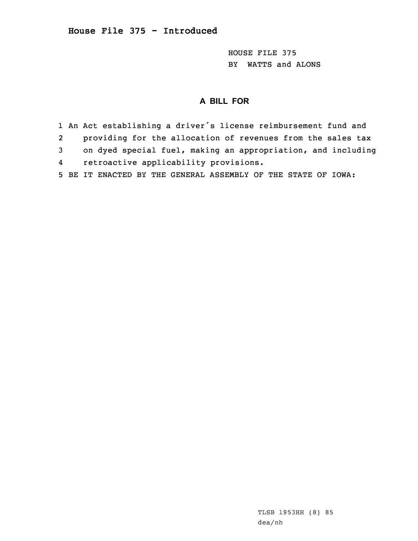HOUSE FILE 375 BY WATTS and ALONS

## **A BILL FOR**

1 An Act establishing <sup>a</sup> driver's license reimbursement fund and 2 providing for the allocation of revenues from the sales tax 3 on dyed special fuel, making an appropriation, and including 4 retroactive applicability provisions. 5 BE IT ENACTED BY THE GENERAL ASSEMBLY OF THE STATE OF IOWA: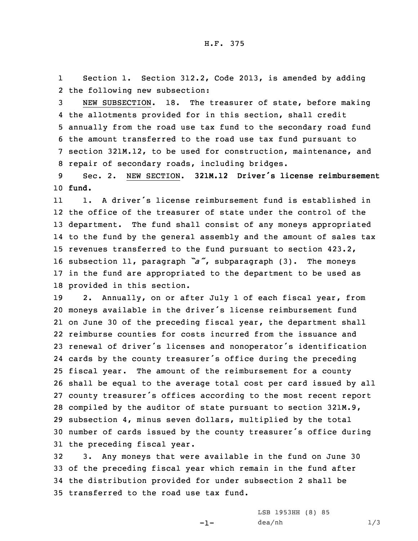1 Section 1. Section 312.2, Code 2013, is amended by adding 2 the following new subsection:

 NEW SUBSECTION. 18. The treasurer of state, before making the allotments provided for in this section, shall credit annually from the road use tax fund to the secondary road fund the amount transferred to the road use tax fund pursuant to section 321M.12, to be used for construction, maintenance, and repair of secondary roads, including bridges.

9 Sec. 2. NEW SECTION. **321M.12 Driver's license reimbursement** 10 **fund.**

11 1. A driver's license reimbursement fund is established in the office of the treasurer of state under the control of the department. The fund shall consist of any moneys appropriated to the fund by the general assembly and the amount of sales tax revenues transferred to the fund pursuant to section 423.2, subsection 11, paragraph *"a"*, subparagraph (3). The moneys in the fund are appropriated to the department to be used as provided in this section.

 2. Annually, on or after July 1 of each fiscal year, from moneys available in the driver's license reimbursement fund on June 30 of the preceding fiscal year, the department shall reimburse counties for costs incurred from the issuance and renewal of driver's licenses and nonoperator's identification cards by the county treasurer's office during the preceding fiscal year. The amount of the reimbursement for <sup>a</sup> county shall be equal to the average total cost per card issued by all county treasurer's offices according to the most recent report compiled by the auditor of state pursuant to section 321M.9, subsection 4, minus seven dollars, multiplied by the total number of cards issued by the county treasurer's office during the preceding fiscal year.

 3. Any moneys that were available in the fund on June 30 of the preceding fiscal year which remain in the fund after the distribution provided for under subsection 2 shall be transferred to the road use tax fund.

-1-

LSB 1953HH (8) 85  $dea/nh$  1/3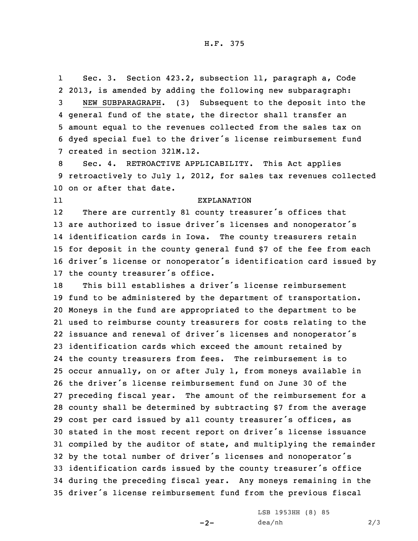1 Sec. 3. Section 423.2, subsection 11, paragraph a, Code 2013, is amended by adding the following new subparagraph: NEW SUBPARAGRAPH. (3) Subsequent to the deposit into the general fund of the state, the director shall transfer an amount equal to the revenues collected from the sales tax on dyed special fuel to the driver's license reimbursement fund created in section 321M.12.

8 Sec. 4. RETROACTIVE APPLICABILITY. This Act applies 9 retroactively to July 1, 2012, for sales tax revenues collected 10 on or after that date.

11

EXPLANATION

12 There are currently <sup>81</sup> county treasurer's offices that are authorized to issue driver's licenses and nonoperator's identification cards in Iowa. The county treasurers retain for deposit in the county general fund \$7 of the fee from each driver's license or nonoperator's identification card issued by the county treasurer's office.

 This bill establishes <sup>a</sup> driver's license reimbursement fund to be administered by the department of transportation. Moneys in the fund are appropriated to the department to be used to reimburse county treasurers for costs relating to the issuance and renewal of driver's licenses and nonoperator's identification cards which exceed the amount retained by the county treasurers from fees. The reimbursement is to occur annually, on or after July 1, from moneys available in the driver's license reimbursement fund on June 30 of the preceding fiscal year. The amount of the reimbursement for <sup>a</sup> county shall be determined by subtracting \$7 from the average cost per card issued by all county treasurer's offices, as stated in the most recent report on driver's license issuance compiled by the auditor of state, and multiplying the remainder by the total number of driver's licenses and nonoperator's identification cards issued by the county treasurer's office during the preceding fiscal year. Any moneys remaining in the driver's license reimbursement fund from the previous fiscal

 $-2-$ 

LSB 1953HH (8) 85 dea/nh 2/3